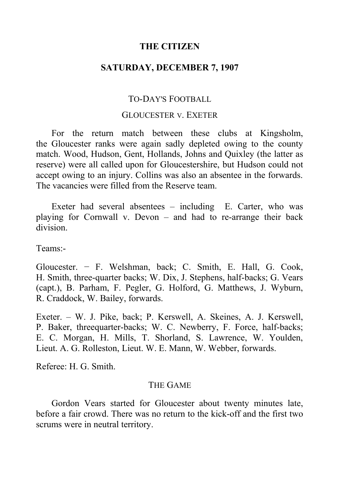## **THE CITIZEN**

## **SATURDAY, DECEMBER 7, 1907**

# TO-DAY'S FOOTBALL

#### GLOUCESTER V. EXETER

For the return match between these clubs at Kingsholm, the Gloucester ranks were again sadly depleted owing to the county match. Wood, Hudson, Gent, Hollands, Johns and Quixley (the latter as reserve) were all called upon for Gloucestershire, but Hudson could not accept owing to an injury. Collins was also an absentee in the forwards. The vacancies were filled from the Reserve team.

Exeter had several absentees  $-$  including E. Carter, who was playing for Cornwall v. Devon  $-$  and had to re-arrange their back division.

Teams:-

Gloucester. − F. Welshman, back; C. Smith, E. Hall, G. Cook, H. Smith, three-quarter backs; W. Dix, J. Stephens, half-backs; G. Vears (capt.), B. Parham, F. Pegler, G. Holford, G. Matthews, J. Wyburn, R. Craddock, W. Bailey, forwards.

Exeter. ‒ W. J. Pike, back; P. Kerswell, A. Skeines, A. J. Kerswell, P. Baker, threequarter-backs; W. C. Newberry, F. Force, half-backs; E. C. Morgan, H. Mills, T. Shorland, S. Lawrence, W. Youlden, Lieut. A. G. Rolleston, Lieut. W. E. Mann, W. Webber, forwards.

Referee: H. G. Smith.

## THE GAME

Gordon Vears started for Gloucester about twenty minutes late, before a fair crowd. There was no return to the kick-off and the first two scrums were in neutral territory.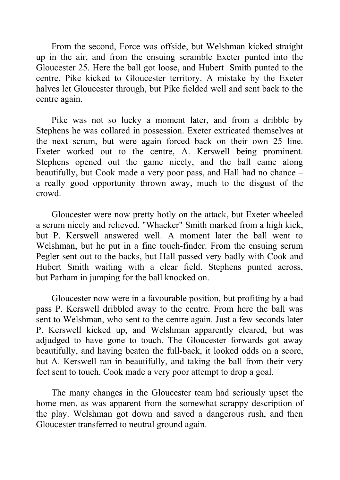From the second, Force was offside, but Welshman kicked straight up in the air, and from the ensuing scramble Exeter punted into the Gloucester 25. Here the ball got loose, and Hubert Smith punted to the centre. Pike kicked to Gloucester territory. A mistake by the Exeter halves let Gloucester through, but Pike fielded well and sent back to the centre again.

Pike was not so lucky a moment later, and from a dribble by Stephens he was collared in possession. Exeter extricated themselves at the next scrum, but were again forced back on their own 25 line. Exeter worked out to the centre, A. Kerswell being prominent. Stephens opened out the game nicely, and the ball came along beautifully, but Cook made a very poor pass, and Hall had no chance – a really good opportunity thrown away, much to the disgust of the crowd.

Gloucester were now pretty hotly on the attack, but Exeter wheeled a scrum nicely and relieved. "Whacker" Smith marked from a high kick, but P. Kerswell answered well. A moment later the ball went to Welshman, but he put in a fine touch-finder. From the ensuing scrum Pegler sent out to the backs, but Hall passed very badly with Cook and Hubert Smith waiting with a clear field. Stephens punted across, but Parham in jumping for the ball knocked on.

Gloucester now were in a favourable position, but profiting by a bad pass P. Kerswell dribbled away to the centre. From here the ball was sent to Welshman, who sent to the centre again. Just a few seconds later P. Kerswell kicked up, and Welshman apparently cleared, but was adjudged to have gone to touch. The Gloucester forwards got away beautifully, and having beaten the full-back, it looked odds on a score, but A. Kerswell ran in beautifully, and taking the ball from their very feet sent to touch. Cook made a very poor attempt to drop a goal.

The many changes in the Gloucester team had seriously upset the home men, as was apparent from the somewhat scrappy description of the play. Welshman got down and saved a dangerous rush, and then Gloucester transferred to neutral ground again.